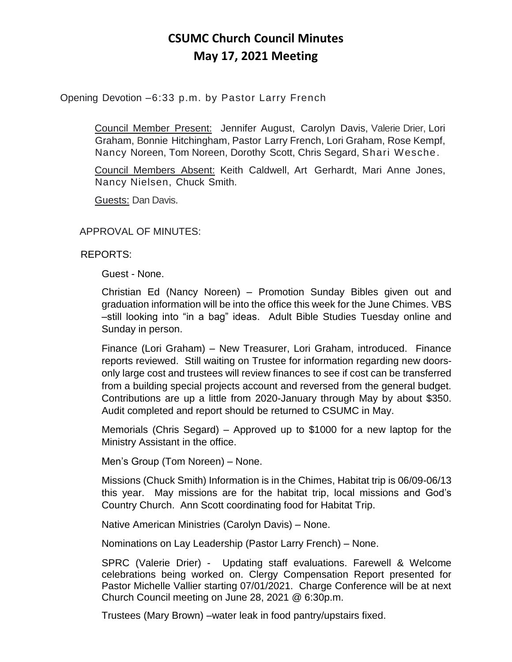# **CSUMC Church Council Minutes May 17, 2021 Meeting**

Opening Devotion –6:33 p.m. by Pastor Larry French

Council Member Present: Jennifer August, Carolyn Davis, Valerie Drier, Lori Graham, Bonnie Hitchingham, Pastor Larry French, Lori Graham, Rose Kempf, Nancy Noreen, Tom Noreen, Dorothy Scott, Chris Segard, Shari Wesche.

Council Members Absent: Keith Caldwell, Art Gerhardt, Mari Anne Jones, Nancy Nielsen, Chuck Smith.

Guests: Dan Davis.

#### APPROVAL OF MINUTES:

REPORTS:

Guest - None.

Christian Ed (Nancy Noreen) – Promotion Sunday Bibles given out and graduation information will be into the office this week for the June Chimes. VBS –still looking into "in a bag" ideas. Adult Bible Studies Tuesday online and Sunday in person.

Finance (Lori Graham) – New Treasurer, Lori Graham, introduced. Finance reports reviewed. Still waiting on Trustee for information regarding new doorsonly large cost and trustees will review finances to see if cost can be transferred from a building special projects account and reversed from the general budget. Contributions are up a little from 2020-January through May by about \$350. Audit completed and report should be returned to CSUMC in May.

Memorials (Chris Segard) – Approved up to \$1000 for a new laptop for the Ministry Assistant in the office.

Men's Group (Tom Noreen) – None.

Missions (Chuck Smith) Information is in the Chimes, Habitat trip is 06/09-06/13 this year. May missions are for the habitat trip, local missions and God's Country Church. Ann Scott coordinating food for Habitat Trip.

Native American Ministries (Carolyn Davis) – None.

Nominations on Lay Leadership (Pastor Larry French) – None.

SPRC (Valerie Drier) - Updating staff evaluations. Farewell & Welcome celebrations being worked on. Clergy Compensation Report presented for Pastor Michelle Vallier starting 07/01/2021. Charge Conference will be at next Church Council meeting on June 28, 2021 @ 6:30p.m.

Trustees (Mary Brown) –water leak in food pantry/upstairs fixed.